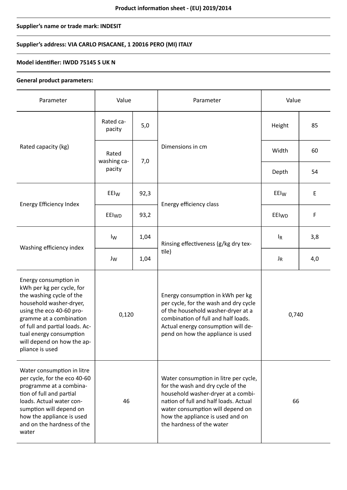## **Supplier's name or trade mark: INDESIT**

## **Supplier's address: VIA CARLO PISACANE, 1 20016 PERO (MI) ITALY**

### **Model identifier: IWDD 75145 S UK N**

#### **General product parameters:**

| Parameter                                                                                                                                                                                                                                                                      | Value                          |      | Parameter                                                                                                                                                                                                                                                      | Value            |     |
|--------------------------------------------------------------------------------------------------------------------------------------------------------------------------------------------------------------------------------------------------------------------------------|--------------------------------|------|----------------------------------------------------------------------------------------------------------------------------------------------------------------------------------------------------------------------------------------------------------------|------------------|-----|
| Rated capacity (kg)                                                                                                                                                                                                                                                            | Rated ca-<br>pacity            | 5,0  | Dimensions in cm                                                                                                                                                                                                                                               | Height           | 85  |
|                                                                                                                                                                                                                                                                                | Rated<br>washing ca-<br>pacity | 7,0  |                                                                                                                                                                                                                                                                | Width            | 60  |
|                                                                                                                                                                                                                                                                                |                                |      |                                                                                                                                                                                                                                                                | Depth            | 54  |
| Energy Efficiency Index                                                                                                                                                                                                                                                        | EEI <sub>W</sub>               | 92,3 | Energy efficiency class                                                                                                                                                                                                                                        | EEI <sub>W</sub> | E   |
|                                                                                                                                                                                                                                                                                | EEIWD                          | 93,2 |                                                                                                                                                                                                                                                                | EEIwp            | F   |
| Washing efficiency index                                                                                                                                                                                                                                                       | Iw                             | 1,04 | Rinsing effectiveness (g/kg dry tex-<br>tile)                                                                                                                                                                                                                  | $I_R$            | 3,8 |
|                                                                                                                                                                                                                                                                                | $\mathsf{J}_\mathsf{W}$        | 1,04 |                                                                                                                                                                                                                                                                | $J_R$            | 4,0 |
| Energy consumption in<br>kWh per kg per cycle, for<br>the washing cycle of the<br>household washer-dryer,<br>using the eco 40-60 pro-<br>gramme at a combination<br>of full and partial loads. Ac-<br>tual energy consumption<br>will depend on how the ap-<br>pliance is used | 0,120                          |      | Energy consumption in kWh per kg<br>per cycle, for the wash and dry cycle<br>of the household washer-dryer at a<br>combination of full and half loads.<br>Actual energy consumption will de-<br>pend on how the appliance is used                              | 0,740            |     |
| Water consumption in litre<br>per cycle, for the eco 40-60<br>programme at a combina-<br>tion of full and partial<br>loads. Actual water con-<br>sumption will depend on<br>how the appliance is used<br>and on the hardness of the<br>water                                   | 46                             |      | Water consumption in litre per cycle,<br>for the wash and dry cycle of the<br>household washer-dryer at a combi-<br>nation of full and half loads. Actual<br>water consumption will depend on<br>how the appliance is used and on<br>the hardness of the water | 66               |     |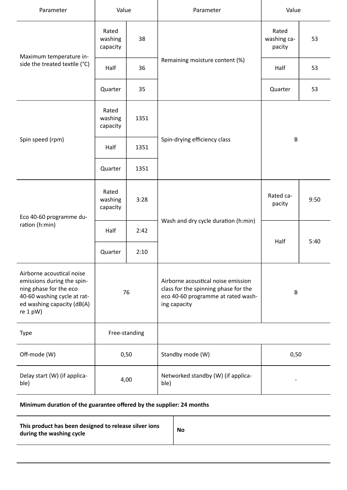| Parameter                                                                                                                                                    | Value                        |      | Parameter                                                                                                                        | Value                          |      |
|--------------------------------------------------------------------------------------------------------------------------------------------------------------|------------------------------|------|----------------------------------------------------------------------------------------------------------------------------------|--------------------------------|------|
| Maximum temperature in-<br>side the treated textile (°C)                                                                                                     | Rated<br>washing<br>capacity | 38   | Remaining moisture content (%)                                                                                                   | Rated<br>washing ca-<br>pacity | 53   |
|                                                                                                                                                              | Half                         | 36   |                                                                                                                                  | Half                           | 53   |
|                                                                                                                                                              | Quarter                      | 35   |                                                                                                                                  | Quarter                        | 53   |
| Spin speed (rpm)                                                                                                                                             | Rated<br>washing<br>capacity | 1351 | Spin-drying efficiency class                                                                                                     | $\sf B$                        |      |
|                                                                                                                                                              | Half                         | 1351 |                                                                                                                                  |                                |      |
|                                                                                                                                                              | Quarter                      | 1351 |                                                                                                                                  |                                |      |
| Eco 40-60 programme du-<br>ration (h:min)                                                                                                                    | Rated<br>washing<br>capacity | 3:28 | Wash and dry cycle duration (h:min)                                                                                              | Rated ca-<br>pacity            | 9:50 |
|                                                                                                                                                              | Half                         | 2:42 |                                                                                                                                  | Half                           | 5:40 |
|                                                                                                                                                              | Quarter                      | 2:10 |                                                                                                                                  |                                |      |
| Airborne acoustical noise<br>emissions during the spin-<br>ning phase for the eco<br>40-60 washing cycle at rat-<br>ed washing capacity (dB(A)<br>re $1$ pW) | 76                           |      | Airborne acoustical noise emission<br>class for the spinning phase for the<br>eco 40-60 programme at rated wash-<br>ing capacity | $\sf B$                        |      |
| <b>Type</b>                                                                                                                                                  | Free-standing                |      |                                                                                                                                  |                                |      |
| Off-mode (W)                                                                                                                                                 | 0,50                         |      | Standby mode (W)                                                                                                                 | 0,50                           |      |
| Delay start (W) (if applica-<br>ble)                                                                                                                         | 4,00                         |      | Networked standby (W) (if applica-<br>ble)                                                                                       |                                |      |

# **Minimum duration of the guarantee offered by the supplier: 24 months**

| This product has been designed to release silver ions<br>during the washing cycle | <b>No</b> |
|-----------------------------------------------------------------------------------|-----------|
|-----------------------------------------------------------------------------------|-----------|